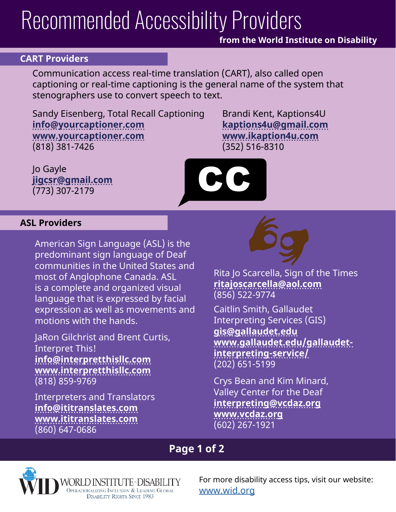# Recommended Accessibility Providers

### **from the World Institute on Disability**

#### **CART Providers**

Communication access real-time translation (CART), also called open captioning or real-time captioning is the general name of the system that stenographers use to convert speech to text.

Sandy Eisenberg, Total Recall Captioning **[info@yourcaptioner.com](mailto:info%40yourcaptioner.com?subject=) [www.yourcaptioner.com](http://www.yourcaptioner.com)** (818) 381-7426

Brandi Kent, Kaptions4U **[kaptions4u@gmail.com](mailto:kaptions4u%40gmail.com?subject=) [www.ikaption4u.com](http://www.ikaption4u.com)** (352) 516-8310

Jo Gayle **[jigcsr@gmail.com](mailto:jigcsr%40gmail.com?subject=)** (773) 307-2179



#### **ASL Providers**

American Sign Language (ASL) is the predominant sign language of Deaf communities in the United States and most of Anglophone Canada. ASL is a complete and organized visual language that is expressed by facial expression as well as movements and motions with the hands.

JaRon Gilchrist and Brent Curtis, Interpret This! **[info@interpretthisllc.com](mailto:info%40interpretthisllc.com?subject=) [www.interpretthisllc.com](http://www.interpretthisllc.com)** (818) 859-9769

Interpreters and Translators **[info@ititranslates.com](mailto:info%40ititranslates.com?subject=) [www.ititranslates.com](http://www.ititranslates.com)** (860) 647-0686



Rita Jo Scarcella, Sign of the Times **[ritajoscarcella@aol.com](mailto:ritajoscarcella%40aol.com?subject=)** (856) 522-9774

Caitlin Smith, Gallaudet Interpreting Services (GIS) **[gis@gallaudet.edu](mailto:gis%40gallaudet.edu?subject=) [www.gallaudet.edu/gallaudet](http://www.gallaudet.edu/gallaudet-interpreting-service/)[interpreting-service/](http://www.gallaudet.edu/gallaudet-interpreting-service/)** (202) 651-5199

Crys Bean and Kim Minard, Valley Center for the Deaf **[interpreting@vcdaz.org](mailto:interpreting%40vcdaz.org?subject=) [www.vcdaz.org](http://www.vcdaz.org)** (602) 267-1921

## **Page 1 of 2**



For more disability access tips, visit our website: [www.wid.org](http://www.wid.org)